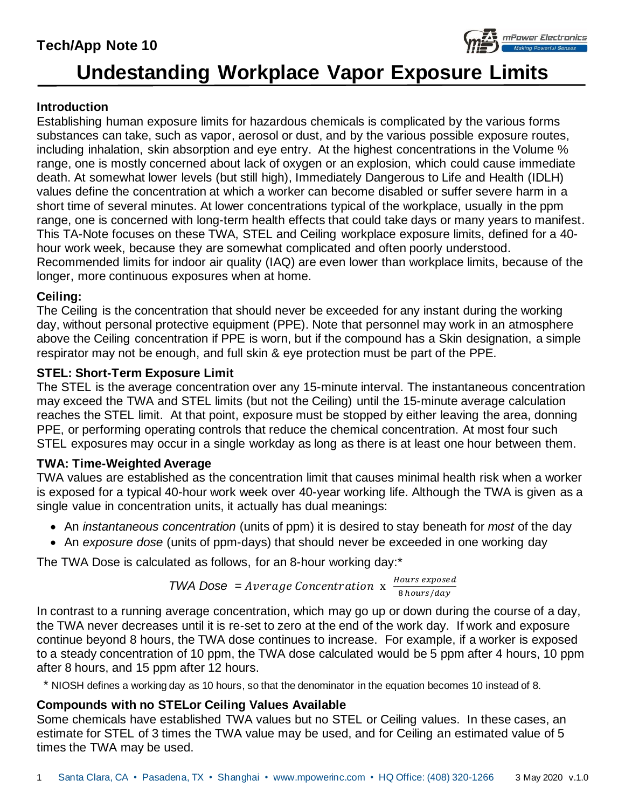# **Tech/App Note 10**



# **Undestanding Workplace Vapor Exposure Limits**

# **Introduction**

Establishing human exposure limits for hazardous chemicals is complicated by the various forms substances can take, such as vapor, aerosol or dust, and by the various possible exposure routes, including inhalation, skin absorption and eye entry. At the highest concentrations in the Volume % range, one is mostly concerned about lack of oxygen or an explosion, which could cause immediate death. At somewhat lower levels (but still high), Immediately Dangerous to Life and Health (IDLH) values define the concentration at which a worker can become disabled or suffer severe harm in a short time of several minutes. At lower concentrations typical of the workplace, usually in the ppm range, one is concerned with long-term health effects that could take days or many years to manifest. This TA-Note focuses on these TWA, STEL and Ceiling workplace exposure limits, defined for a 40 hour work week, because they are somewhat complicated and often poorly understood. Recommended limits for indoor air quality (IAQ) are even lower than workplace limits, because of the longer, more continuous exposures when at home.

#### **Ceiling:**

The Ceiling is the concentration that should never be exceeded for any instant during the working day, without personal protective equipment (PPE). Note that personnel may work in an atmosphere above the Ceiling concentration if PPE is worn, but if the compound has a Skin designation, a simple respirator may not be enough, and full skin & eye protection must be part of the PPE.

# **STEL: Short-Term Exposure Limit**

The STEL is the average concentration over any 15-minute interval. The instantaneous concentration may exceed the TWA and STEL limits (but not the Ceiling) until the 15-minute average calculation reaches the STEL limit. At that point, exposure must be stopped by either leaving the area, donning PPE, or performing operating controls that reduce the chemical concentration. At most four such STEL exposures may occur in a single workday as long as there is at least one hour between them.

#### **TWA: Time-Weighted Average**

TWA values are established as the concentration limit that causes minimal health risk when a worker is exposed for a typical 40-hour work week over 40-year working life. Although the TWA is given as a single value in concentration units, it actually has dual meanings:

- An *instantaneous concentration* (units of ppm) it is desired to stay beneath for *most* of the day
- An *exposure dose* (units of ppm-days) that should never be exceeded in one working day

The TWA Dose is calculated as follows, for an 8-hour working day:\*

**TWA** *Does* = *Average Concentration* 
$$
x \frac{Hours\ exposed}{8 \text{ hours/day}}
$$

In contrast to a running average concentration, which may go up or down during the course of a day, the TWA never decreases until it is re-set to zero at the end of the work day. If work and exposure continue beyond 8 hours, the TWA dose continues to increase. For example, if a worker is exposed to a steady concentration of 10 ppm, the TWA dose calculated would be 5 ppm after 4 hours, 10 ppm after 8 hours, and 15 ppm after 12 hours.

\* NIOSH defines a working day as 10 hours, so that the denominator in the equation becomes 10 instead of 8.

# **Compounds with no STELor Ceiling Values Available**

Some chemicals have established TWA values but no STEL or Ceiling values. In these cases, an estimate for STEL of 3 times the TWA value may be used, and for Ceiling an estimated value of 5 times the TWA may be used.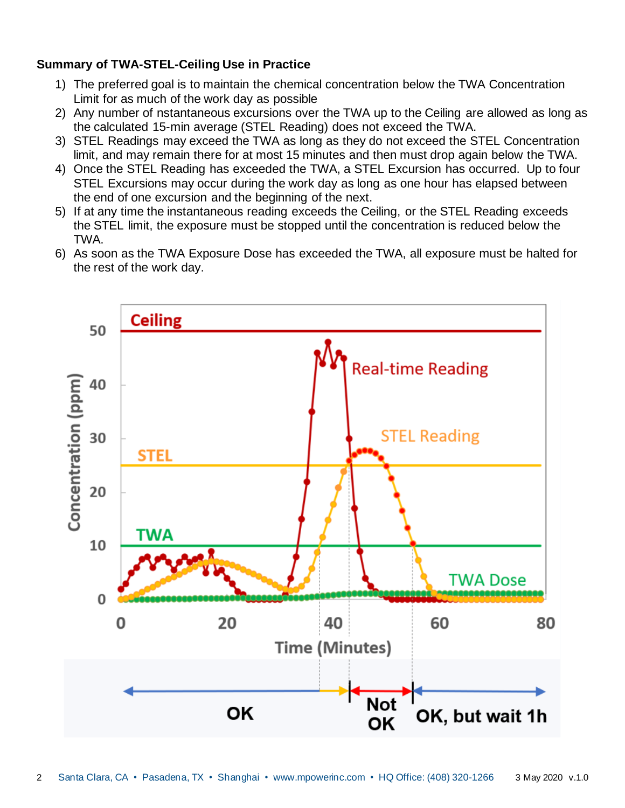# **Summary of TWA-STEL-Ceiling Use in Practice**

- 1) The preferred goal is to maintain the chemical concentration below the TWA Concentration Limit for as much of the work day as possible
- 2) Any number of nstantaneous excursions over the TWA up to the Ceiling are allowed as long as the calculated 15-min average (STEL Reading) does not exceed the TWA.
- 3) STEL Readings may exceed the TWA as long as they do not exceed the STEL Concentration limit, and may remain there for at most 15 minutes and then must drop again below the TWA.
- 4) Once the STEL Reading has exceeded the TWA, a STEL Excursion has occurred. Up to four STEL Excursions may occur during the work day as long as one hour has elapsed between the end of one excursion and the beginning of the next.
- 5) If at any time the instantaneous reading exceeds the Ceiling, or the STEL Reading exceeds the STEL limit, the exposure must be stopped until the concentration is reduced below the TWA.
- 6) As soon as the TWA Exposure Dose has exceeded the TWA, all exposure must be halted for the rest of the work day.

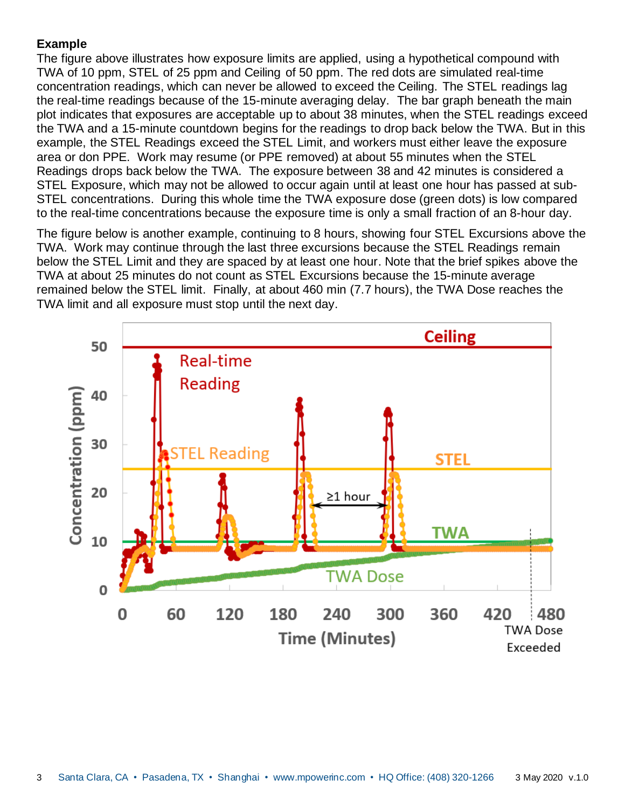# **Example**

The figure above illustrates how exposure limits are applied, using a hypothetical compound with TWA of 10 ppm, STEL of 25 ppm and Ceiling of 50 ppm. The red dots are simulated real-time concentration readings, which can never be allowed to exceed the Ceiling. The STEL readings lag the real-time readings because of the 15-minute averaging delay. The bar graph beneath the main plot indicates that exposures are acceptable up to about 38 minutes, when the STEL readings exceed the TWA and a 15-minute countdown begins for the readings to drop back below the TWA. But in this example, the STEL Readings exceed the STEL Limit, and workers must either leave the exposure area or don PPE. Work may resume (or PPE removed) at about 55 minutes when the STEL Readings drops back below the TWA. The exposure between 38 and 42 minutes is considered a STEL Exposure, which may not be allowed to occur again until at least one hour has passed at sub-STEL concentrations. During this whole time the TWA exposure dose (green dots) is low compared to the real-time concentrations because the exposure time is only a small fraction of an 8-hour day.

The figure below is another example, continuing to 8 hours, showing four STEL Excursions above the TWA. Work may continue through the last three excursions because the STEL Readings remain below the STEL Limit and they are spaced by at least one hour. Note that the brief spikes above the TWA at about 25 minutes do not count as STEL Excursions because the 15-minute average remained below the STEL limit. Finally, at about 460 min (7.7 hours), the TWA Dose reaches the TWA limit and all exposure must stop until the next day.